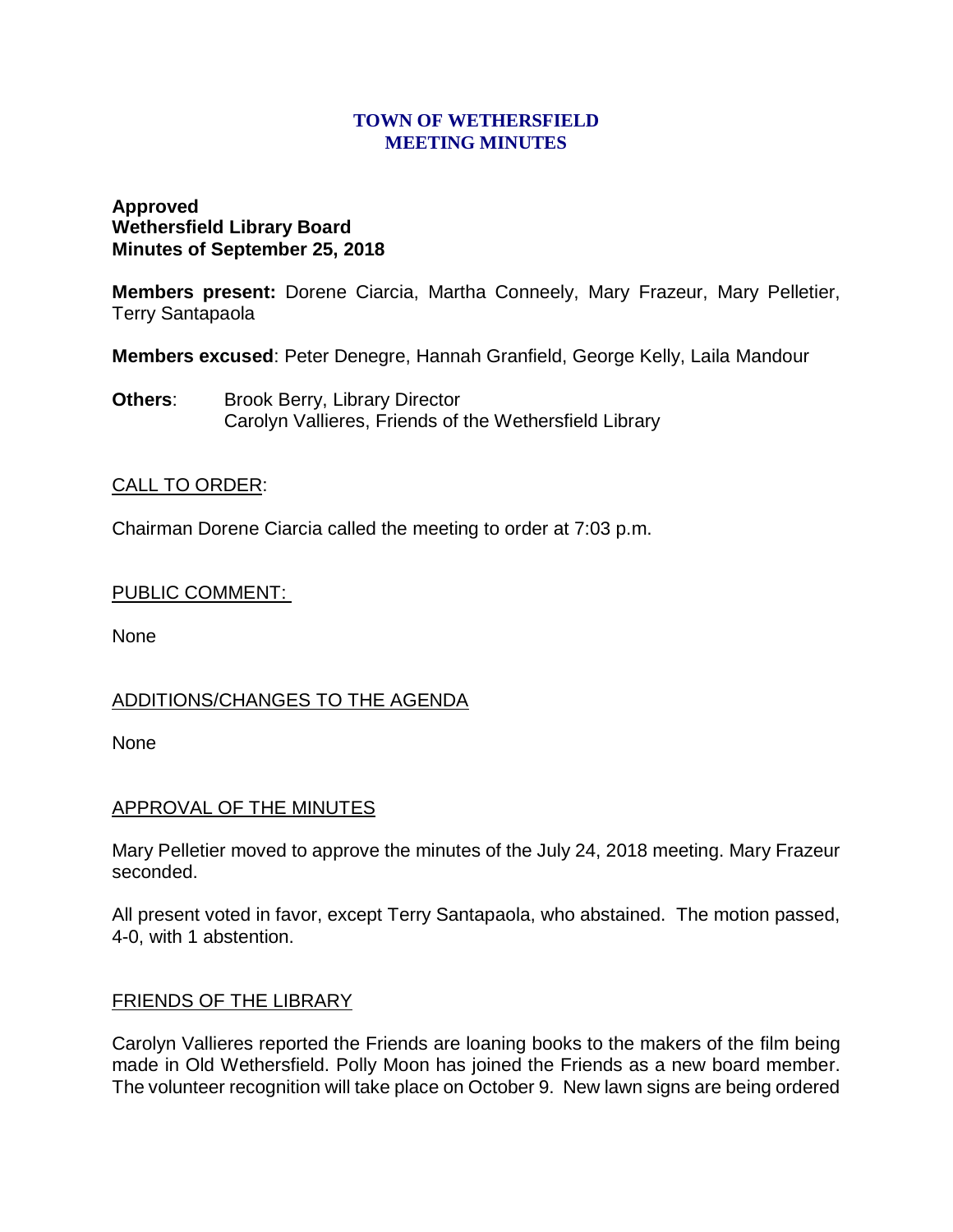#### **TOWN OF WETHERSFIELD MEETING MINUTES**

### **Approved Wethersfield Library Board Minutes of September 25, 2018**

**Members present:** Dorene Ciarcia, Martha Conneely, Mary Frazeur, Mary Pelletier, Terry Santapaola

**Members excused**: Peter Denegre, Hannah Granfield, George Kelly, Laila Mandour

**Others:** Brook Berry, Library Director Carolyn Vallieres, Friends of the Wethersfield Library

## CALL TO ORDER:

Chairman Dorene Ciarcia called the meeting to order at 7:03 p.m.

### PUBLIC COMMENT:

None

# ADDITIONS/CHANGES TO THE AGENDA

None

### APPROVAL OF THE MINUTES

Mary Pelletier moved to approve the minutes of the July 24, 2018 meeting. Mary Frazeur seconded.

All present voted in favor, except Terry Santapaola, who abstained. The motion passed, 4-0, with 1 abstention.

### FRIENDS OF THE LIBRARY

Carolyn Vallieres reported the Friends are loaning books to the makers of the film being made in Old Wethersfield. Polly Moon has joined the Friends as a new board member. The volunteer recognition will take place on October 9. New lawn signs are being ordered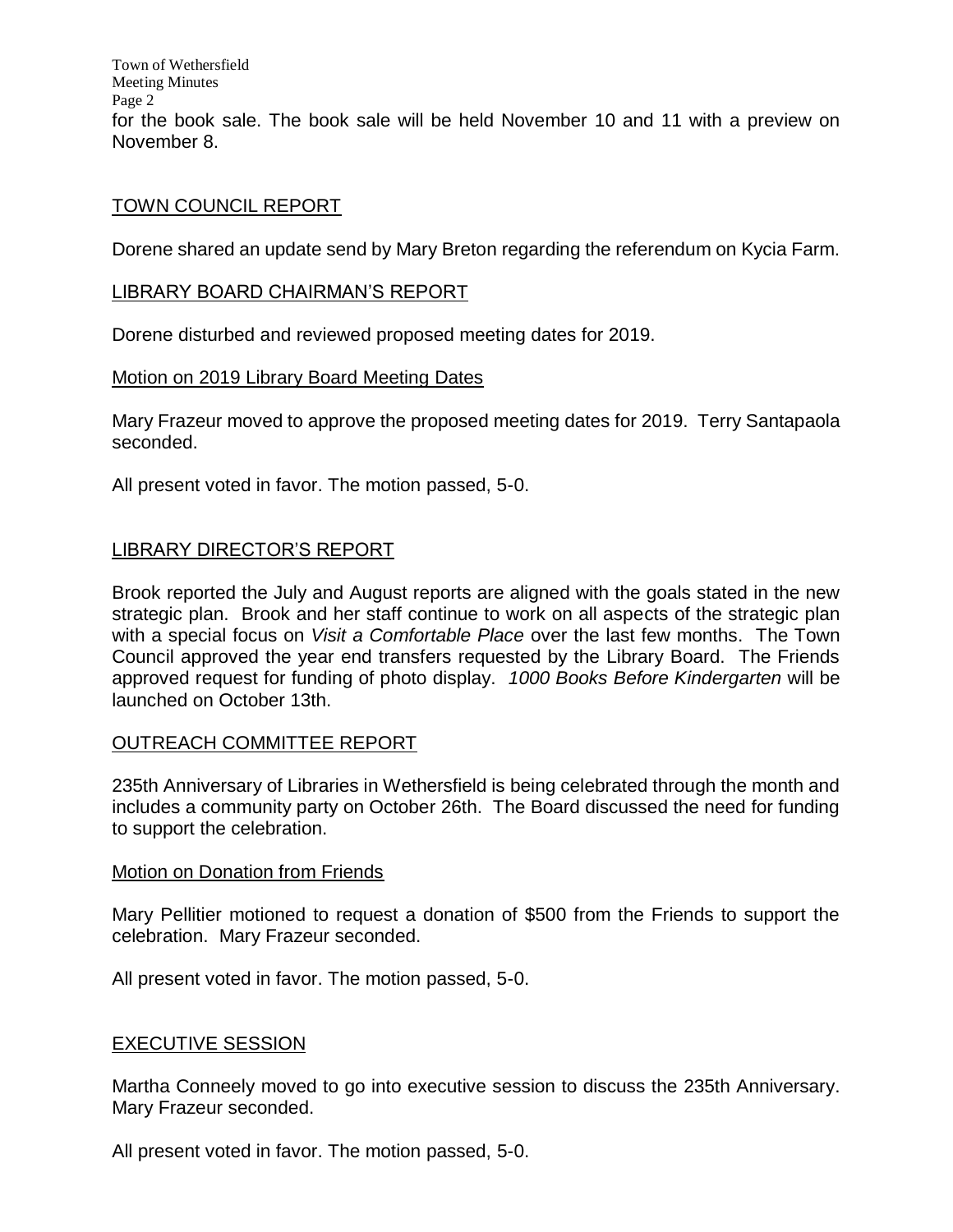Town of Wethersfield Meeting Minutes Page 2 for the book sale. The book sale will be held November 10 and 11 with a preview on November 8.

#### TOWN COUNCIL REPORT

Dorene shared an update send by Mary Breton regarding the referendum on Kycia Farm.

#### LIBRARY BOARD CHAIRMAN'S REPORT

Dorene disturbed and reviewed proposed meeting dates for 2019.

#### Motion on 2019 Library Board Meeting Dates

Mary Frazeur moved to approve the proposed meeting dates for 2019. Terry Santapaola seconded.

All present voted in favor. The motion passed, 5-0.

### LIBRARY DIRECTOR'S REPORT

Brook reported the July and August reports are aligned with the goals stated in the new strategic plan. Brook and her staff continue to work on all aspects of the strategic plan with a special focus on *Visit a Comfortable Place* over the last few months. The Town Council approved the year end transfers requested by the Library Board. The Friends approved request for funding of photo display. *1000 Books Before Kindergarten* will be launched on October 13th.

### OUTREACH COMMITTEE REPORT

235th Anniversary of Libraries in Wethersfield is being celebrated through the month and includes a community party on October 26th. The Board discussed the need for funding to support the celebration.

#### Motion on Donation from Friends

Mary Pellitier motioned to request a donation of \$500 from the Friends to support the celebration. Mary Frazeur seconded.

All present voted in favor. The motion passed, 5-0.

### EXECUTIVE SESSION

Martha Conneely moved to go into executive session to discuss the 235th Anniversary. Mary Frazeur seconded.

All present voted in favor. The motion passed, 5-0.